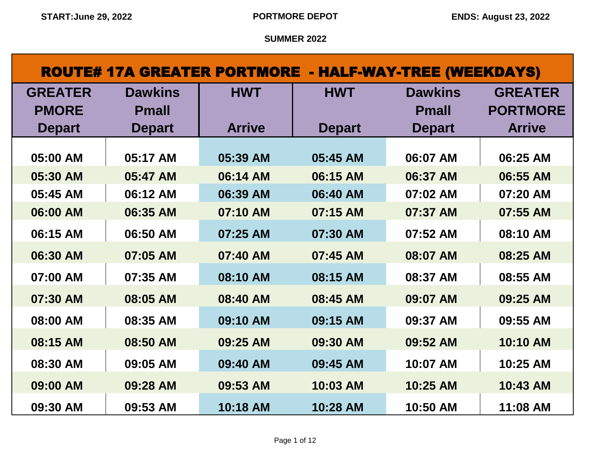| <b>ROUTE# 17A GREATER PORTMORE - HALF-WAY-TREE (WEEKDAYS)</b> |                |               |               |                |                 |  |
|---------------------------------------------------------------|----------------|---------------|---------------|----------------|-----------------|--|
| <b>GREATER</b>                                                | <b>Dawkins</b> | <b>HWT</b>    | <b>HWT</b>    | <b>Dawkins</b> | <b>GREATER</b>  |  |
| <b>PMORE</b>                                                  | <b>Pmall</b>   |               |               | <b>Pmall</b>   | <b>PORTMORE</b> |  |
| <b>Depart</b>                                                 | <b>Depart</b>  | <b>Arrive</b> | <b>Depart</b> | <b>Depart</b>  | <b>Arrive</b>   |  |
| 05:00 AM                                                      | 05:17 AM       | 05:39 AM      | 05:45 AM      | 06:07 AM       | 06:25 AM        |  |
| 05:30 AM                                                      | 05:47 AM       | 06:14 AM      | 06:15 AM      | 06:37 AM       | 06:55 AM        |  |
| 05:45 AM                                                      | 06:12 AM       | 06:39 AM      | 06:40 AM      | 07:02 AM       | 07:20 AM        |  |
| 06:00 AM                                                      | 06:35 AM       | 07:10 AM      | 07:15 AM      | 07:37 AM       | 07:55 AM        |  |
| 06:15 AM                                                      | 06:50 AM       | 07:25 AM      | 07:30 AM      | 07:52 AM       | 08:10 AM        |  |
| 06:30 AM                                                      | 07:05 AM       | 07:40 AM      | 07:45 AM      | 08:07 AM       | 08:25 AM        |  |
| 07:00 AM                                                      | 07:35 AM       | 08:10 AM      | 08:15 AM      | 08:37 AM       | 08:55 AM        |  |
| 07:30 AM                                                      | 08:05 AM       | 08:40 AM      | 08:45 AM      | 09:07 AM       | 09:25 AM        |  |
| 08:00 AM                                                      | 08:35 AM       | 09:10 AM      | 09:15 AM      | 09:37 AM       | 09:55 AM        |  |
| 08:15 AM                                                      | 08:50 AM       | 09:25 AM      | 09:30 AM      | 09:52 AM       | 10:10 AM        |  |
| 08:30 AM                                                      | 09:05 AM       | 09:40 AM      | 09:45 AM      | 10:07 AM       | 10:25 AM        |  |
| 09:00 AM                                                      | 09:28 AM       | 09:53 AM      | 10:03 AM      | 10:25 AM       | 10:43 AM        |  |
| 09:30 AM                                                      | 09:53 AM       | 10:18 AM      | 10:28 AM      | 10:50 AM       | 11:08 AM        |  |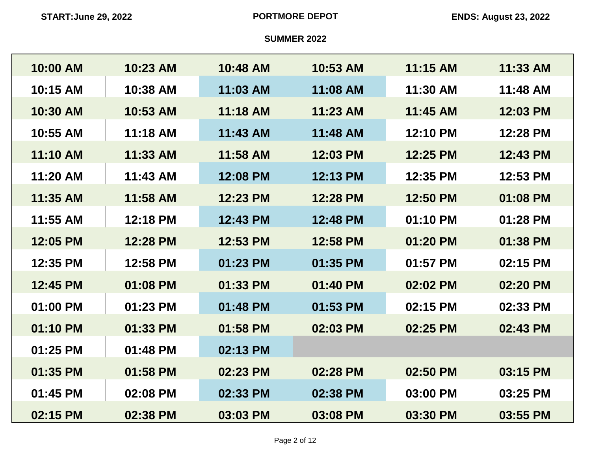| 10:00 AM | 10:23 AM | 10:48 AM   | 10:53 AM | 11:15 AM | 11:33 AM |
|----------|----------|------------|----------|----------|----------|
| 10:15 AM | 10:38 AM | 11:03 AM   | 11:08 AM | 11:30 AM | 11:48 AM |
| 10:30 AM | 10:53 AM | 11:18 AM   | 11:23 AM | 11:45 AM | 12:03 PM |
| 10:55 AM | 11:18 AM | $11:43$ AM | 11:48 AM | 12:10 PM | 12:28 PM |
| 11:10 AM | 11:33 AM | 11:58 AM   | 12:03 PM | 12:25 PM | 12:43 PM |
| 11:20 AM | 11:43 AM | 12:08 PM   | 12:13 PM | 12:35 PM | 12:53 PM |
| 11:35 AM | 11:58 AM | 12:23 PM   | 12:28 PM | 12:50 PM | 01:08 PM |
| 11:55 AM | 12:18 PM | 12:43 PM   | 12:48 PM | 01:10 PM | 01:28 PM |
| 12:05 PM | 12:28 PM | 12:53 PM   | 12:58 PM | 01:20 PM | 01:38 PM |
| 12:35 PM | 12:58 PM | 01:23 PM   | 01:35 PM | 01:57 PM | 02:15 PM |
| 12:45 PM | 01:08 PM | 01:33 PM   | 01:40 PM | 02:02 PM | 02:20 PM |
| 01:00 PM | 01:23 PM | 01:48 PM   | 01:53 PM | 02:15 PM | 02:33 PM |
| 01:10 PM | 01:33 PM | 01:58 PM   | 02:03 PM | 02:25 PM | 02:43 PM |
| 01:25 PM | 01:48 PM | 02:13 PM   |          |          |          |
| 01:35 PM | 01:58 PM | 02:23 PM   | 02:28 PM | 02:50 PM | 03:15 PM |
| 01:45 PM | 02:08 PM | 02:33 PM   | 02:38 PM | 03:00 PM | 03:25 PM |
| 02:15 PM | 02:38 PM | 03:03 PM   | 03:08 PM | 03:30 PM | 03:55 PM |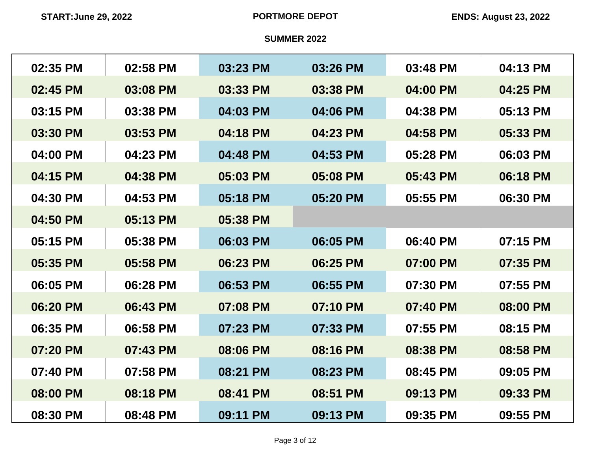| 02:35 PM | 02:58 PM | 03:23 PM | 03:26 PM | 03:48 PM | 04:13 PM |
|----------|----------|----------|----------|----------|----------|
| 02:45 PM | 03:08 PM | 03:33 PM | 03:38 PM | 04:00 PM | 04:25 PM |
| 03:15 PM | 03:38 PM | 04:03 PM | 04:06 PM | 04:38 PM | 05:13 PM |
| 03:30 PM | 03:53 PM | 04:18 PM | 04:23 PM | 04:58 PM | 05:33 PM |
| 04:00 PM | 04:23 PM | 04:48 PM | 04:53 PM | 05:28 PM | 06:03 PM |
| 04:15 PM | 04:38 PM | 05:03 PM | 05:08 PM | 05:43 PM | 06:18 PM |
| 04:30 PM | 04:53 PM | 05:18 PM | 05:20 PM | 05:55 PM | 06:30 PM |
| 04:50 PM | 05:13 PM | 05:38 PM |          |          |          |
| 05:15 PM | 05:38 PM | 06:03 PM | 06:05 PM | 06:40 PM | 07:15 PM |
| 05:35 PM | 05:58 PM | 06:23 PM | 06:25 PM | 07:00 PM | 07:35 PM |
| 06:05 PM | 06:28 PM | 06:53 PM | 06:55 PM | 07:30 PM | 07:55 PM |
| 06:20 PM | 06:43 PM | 07:08 PM | 07:10 PM | 07:40 PM | 08:00 PM |
| 06:35 PM | 06:58 PM | 07:23 PM | 07:33 PM | 07:55 PM | 08:15 PM |
| 07:20 PM | 07:43 PM | 08:06 PM | 08:16 PM | 08:38 PM | 08:58 PM |
| 07:40 PM | 07:58 PM | 08:21 PM | 08:23 PM | 08:45 PM | 09:05 PM |
| 08:00 PM | 08:18 PM | 08:41 PM | 08:51 PM | 09:13 PM | 09:33 PM |
| 08:30 PM | 08:48 PM | 09:11 PM | 09:13 PM | 09:35 PM | 09:55 PM |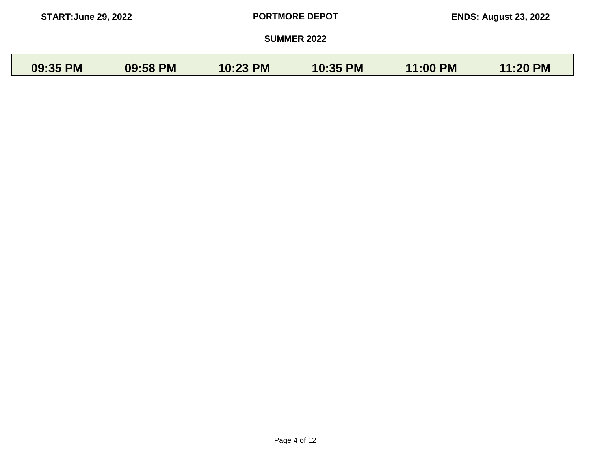| <b>START: June 29, 2022</b> |          |          | <b>PORTMORE DEPOT</b> |          | <b>ENDS: August 23, 2022</b> |
|-----------------------------|----------|----------|-----------------------|----------|------------------------------|
|                             |          |          | <b>SUMMER 2022</b>    |          |                              |
| 09:35 PM                    | 09:58 PM | 10:23 PM | 10:35 PM              | 11:00 PM | 11:20 PM                     |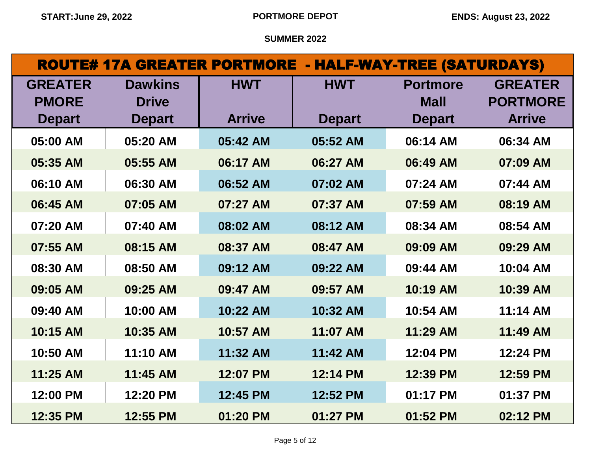| <b>ROUTE# 17A GREATER PORTMORE - HALF-WAY-TREE (SATURDAYS)</b> |                                |               |               |                                |                                   |
|----------------------------------------------------------------|--------------------------------|---------------|---------------|--------------------------------|-----------------------------------|
| <b>GREATER</b><br><b>PMORE</b>                                 | <b>Dawkins</b><br><b>Drive</b> | <b>HWT</b>    | <b>HWT</b>    | <b>Portmore</b><br><b>Mall</b> | <b>GREATER</b><br><b>PORTMORE</b> |
| <b>Depart</b>                                                  | <b>Depart</b>                  | <b>Arrive</b> | <b>Depart</b> | <b>Depart</b>                  | <b>Arrive</b>                     |
| 05:00 AM                                                       | 05:20 AM                       | 05:42 AM      | 05:52 AM      | 06:14 AM                       | 06:34 AM                          |
| 05:35 AM                                                       | 05:55 AM                       | 06:17 AM      | 06:27 AM      | 06:49 AM                       | 07:09 AM                          |
| 06:10 AM                                                       | 06:30 AM                       | 06:52 AM      | 07:02 AM      | 07:24 AM                       | 07:44 AM                          |
| 06:45 AM                                                       | 07:05 AM                       | 07:27 AM      | 07:37 AM      | 07:59 AM                       | 08:19 AM                          |
| 07:20 AM                                                       | 07:40 AM                       | 08:02 AM      | 08:12 AM      | 08:34 AM                       | 08:54 AM                          |
| 07:55 AM                                                       | 08:15 AM                       | 08:37 AM      | 08:47 AM      | 09:09 AM                       | 09:29 AM                          |
| 08:30 AM                                                       | 08:50 AM                       | 09:12 AM      | 09:22 AM      | 09:44 AM                       | 10:04 AM                          |
| 09:05 AM                                                       | 09:25 AM                       | 09:47 AM      | 09:57 AM      | 10:19 AM                       | 10:39 AM                          |
| 09:40 AM                                                       | 10:00 AM                       | 10:22 AM      | 10:32 AM      | 10:54 AM                       | 11:14 AM                          |
| 10:15 AM                                                       | 10:35 AM                       | 10:57 AM      | 11:07 AM      | 11:29 AM                       | 11:49 AM                          |
| 10:50 AM                                                       | 11:10 AM                       | 11:32 AM      | 11:42 AM      | 12:04 PM                       | 12:24 PM                          |
| 11:25 AM                                                       | 11:45 AM                       | 12:07 PM      | 12:14 PM      | 12:39 PM                       | 12:59 PM                          |
| 12:00 PM                                                       | 12:20 PM                       | 12:45 PM      | 12:52 PM      | 01:17 PM                       | 01:37 PM                          |
| 12:35 PM                                                       | 12:55 PM                       | 01:20 PM      | 01:27 PM      | 01:52 PM                       | 02:12 PM                          |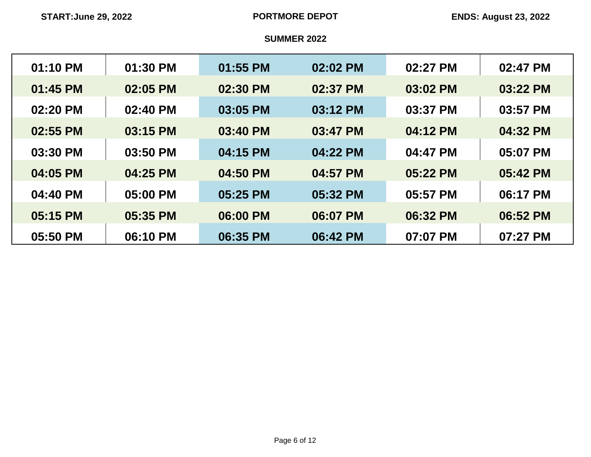| 01:10 PM | 01:30 PM | 01:55 PM | 02:02 PM | 02:27 PM | 02:47 PM |
|----------|----------|----------|----------|----------|----------|
| 01:45 PM | 02:05 PM | 02:30 PM | 02:37 PM | 03:02 PM | 03:22 PM |
| 02:20 PM | 02:40 PM | 03:05 PM | 03:12 PM | 03:37 PM | 03:57 PM |
| 02:55 PM | 03:15 PM | 03:40 PM | 03:47 PM | 04:12 PM | 04:32 PM |
| 03:30 PM | 03:50 PM | 04:15 PM | 04:22 PM | 04:47 PM | 05:07 PM |
| 04:05 PM | 04:25 PM | 04:50 PM | 04:57 PM | 05:22 PM | 05:42 PM |
| 04:40 PM | 05:00 PM | 05:25 PM | 05:32 PM | 05:57 PM | 06:17 PM |
| 05:15 PM | 05:35 PM | 06:00 PM | 06:07 PM | 06:32 PM | 06:52 PM |
| 05:50 PM | 06:10 PM | 06:35 PM | 06:42 PM | 07:07 PM | 07:27 PM |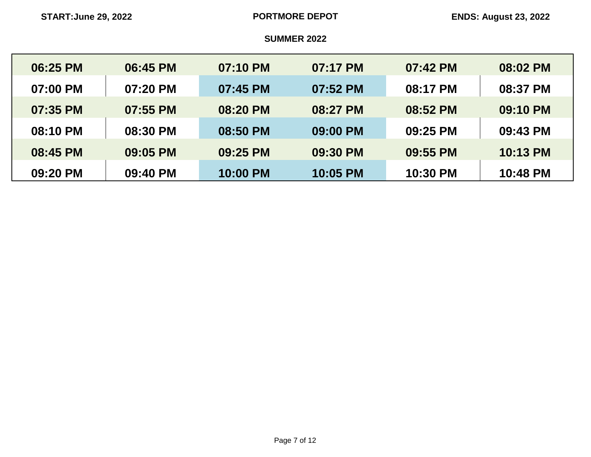| 06:25 PM | 06:45 PM | 07:10 PM | 07:17 PM | 07:42 PM | 08:02 PM |
|----------|----------|----------|----------|----------|----------|
| 07:00 PM | 07:20 PM | 07:45 PM | 07:52 PM | 08:17 PM | 08:37 PM |
| 07:35 PM | 07:55 PM | 08:20 PM | 08:27 PM | 08:52 PM | 09:10 PM |
| 08:10 PM | 08:30 PM | 08:50 PM | 09:00 PM | 09:25 PM | 09:43 PM |
| 08:45 PM | 09:05 PM | 09:25 PM | 09:30 PM | 09:55 PM | 10:13 PM |
| 09:20 PM | 09:40 PM | 10:00 PM | 10:05 PM | 10:30 PM | 10:48 PM |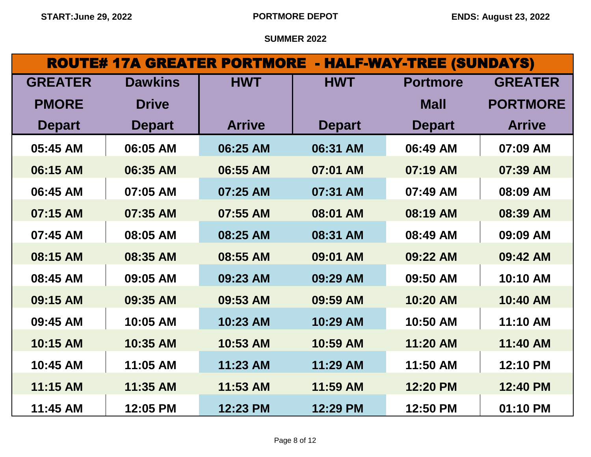| <b>ROUTE# 17A GREATER PORTMORE - HALF-WAY-TREE (SUNDAYS)</b> |                |               |               |                 |                 |
|--------------------------------------------------------------|----------------|---------------|---------------|-----------------|-----------------|
| <b>GREATER</b>                                               | <b>Dawkins</b> | <b>HWT</b>    | <b>HWT</b>    | <b>Portmore</b> | <b>GREATER</b>  |
| <b>PMORE</b>                                                 | <b>Drive</b>   |               |               | <b>Mall</b>     | <b>PORTMORE</b> |
| <b>Depart</b>                                                | <b>Depart</b>  | <b>Arrive</b> | <b>Depart</b> | <b>Depart</b>   | <b>Arrive</b>   |
| 05:45 AM                                                     | 06:05 AM       | 06:25 AM      | 06:31 AM      | 06:49 AM        | 07:09 AM        |
| 06:15 AM                                                     | 06:35 AM       | 06:55 AM      | 07:01 AM      | 07:19 AM        | 07:39 AM        |
| 06:45 AM                                                     | 07:05 AM       | 07:25 AM      | 07:31 AM      | 07:49 AM        | 08:09 AM        |
| 07:15 AM                                                     | 07:35 AM       | 07:55 AM      | 08:01 AM      | 08:19 AM        | 08:39 AM        |
| 07:45 AM                                                     | 08:05 AM       | 08:25 AM      | 08:31 AM      | 08:49 AM        | 09:09 AM        |
| 08:15 AM                                                     | 08:35 AM       | 08:55 AM      | 09:01 AM      | 09:22 AM        | 09:42 AM        |
| 08:45 AM                                                     | 09:05 AM       | 09:23 AM      | 09:29 AM      | 09:50 AM        | 10:10 AM        |
| 09:15 AM                                                     | 09:35 AM       | 09:53 AM      | 09:59 AM      | 10:20 AM        | 10:40 AM        |
| 09:45 AM                                                     | 10:05 AM       | 10:23 AM      | 10:29 AM      | 10:50 AM        | 11:10 AM        |
| 10:15 AM                                                     | 10:35 AM       | 10:53 AM      | 10:59 AM      | 11:20 AM        | 11:40 AM        |
| 10:45 AM                                                     | 11:05 AM       | 11:23 AM      | 11:29 AM      | 11:50 AM        | 12:10 PM        |
| 11:15 AM                                                     | 11:35 AM       | 11:53 AM      | 11:59 AM      | 12:20 PM        | 12:40 PM        |
| 11:45 AM                                                     | 12:05 PM       | 12:23 PM      | 12:29 PM      | 12:50 PM        | 01:10 PM        |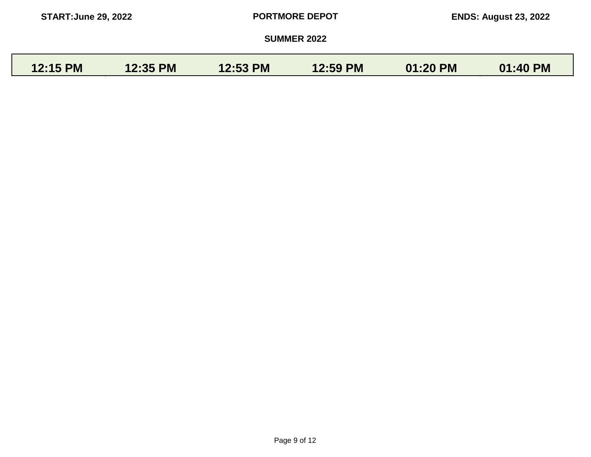| <b>START: June 29, 2022</b> |                 |                 | <b>PORTMORE DEPOT</b> |          | <b>ENDS: August 23, 2022</b> |
|-----------------------------|-----------------|-----------------|-----------------------|----------|------------------------------|
|                             |                 |                 | <b>SUMMER 2022</b>    |          |                              |
| 12:15 PM                    | <b>12:35 PM</b> | <b>12:53 PM</b> | 12:59 PM              | 01:20 PM | 01:40 PM                     |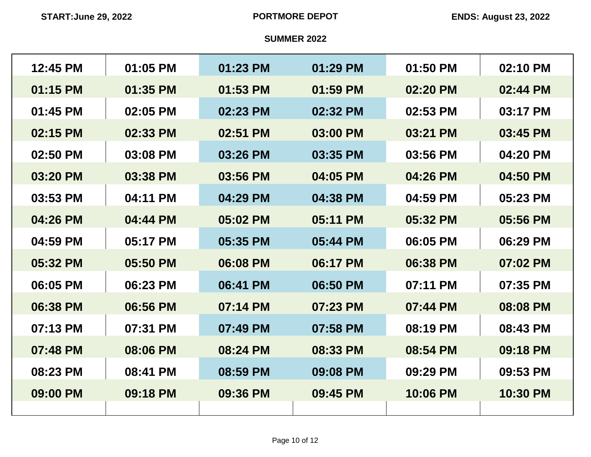| 12:45 PM | 01:05 PM | 01:23 PM | 01:29 PM | 01:50 PM | 02:10 PM |
|----------|----------|----------|----------|----------|----------|
| 01:15 PM | 01:35 PM | 01:53 PM | 01:59 PM | 02:20 PM | 02:44 PM |
| 01:45 PM | 02:05 PM | 02:23 PM | 02:32 PM | 02:53 PM | 03:17 PM |
| 02:15 PM | 02:33 PM | 02:51 PM | 03:00 PM | 03:21 PM | 03:45 PM |
| 02:50 PM | 03:08 PM | 03:26 PM | 03:35 PM | 03:56 PM | 04:20 PM |
| 03:20 PM | 03:38 PM | 03:56 PM | 04:05 PM | 04:26 PM | 04:50 PM |
| 03:53 PM | 04:11 PM | 04:29 PM | 04:38 PM | 04:59 PM | 05:23 PM |
| 04:26 PM | 04:44 PM | 05:02 PM | 05:11 PM | 05:32 PM | 05:56 PM |
| 04:59 PM | 05:17 PM | 05:35 PM | 05:44 PM | 06:05 PM | 06:29 PM |
| 05:32 PM | 05:50 PM | 06:08 PM | 06:17 PM | 06:38 PM | 07:02 PM |
| 06:05 PM | 06:23 PM | 06:41 PM | 06:50 PM | 07:11 PM | 07:35 PM |
| 06:38 PM | 06:56 PM | 07:14 PM | 07:23 PM | 07:44 PM | 08:08 PM |
| 07:13 PM | 07:31 PM | 07:49 PM | 07:58 PM | 08:19 PM | 08:43 PM |
| 07:48 PM | 08:06 PM | 08:24 PM | 08:33 PM | 08:54 PM | 09:18 PM |
| 08:23 PM | 08:41 PM | 08:59 PM | 09:08 PM | 09:29 PM | 09:53 PM |
| 09:00 PM | 09:18 PM | 09:36 PM | 09:45 PM | 10:06 PM | 10:30 PM |
|          |          |          |          |          |          |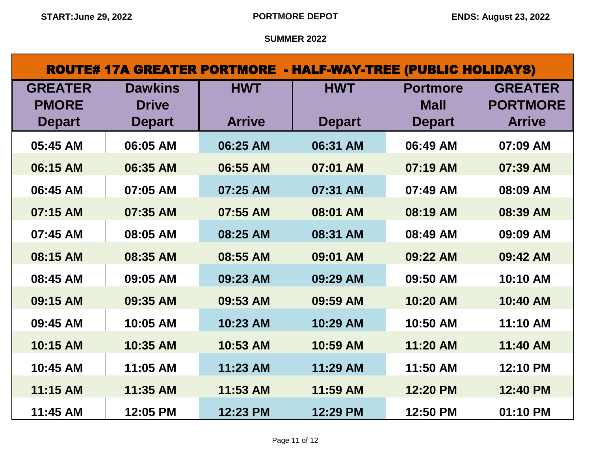| <b>ROUTE# 17A GREATER PORTMORE - HALF-WAY-TREE (PUBLIC HOLIDAYS)</b> |                                |               |               |                                |                                   |  |  |
|----------------------------------------------------------------------|--------------------------------|---------------|---------------|--------------------------------|-----------------------------------|--|--|
| <b>GREATER</b><br><b>PMORE</b>                                       | <b>Dawkins</b><br><b>Drive</b> | <b>HWT</b>    | <b>HWT</b>    | <b>Portmore</b><br><b>Mall</b> | <b>GREATER</b><br><b>PORTMORE</b> |  |  |
| <b>Depart</b>                                                        | <b>Depart</b>                  | <b>Arrive</b> | <b>Depart</b> | <b>Depart</b>                  | <b>Arrive</b>                     |  |  |
| 05:45 AM                                                             | 06:05 AM                       | 06:25 AM      | 06:31 AM      | 06:49 AM                       | 07:09 AM                          |  |  |
| 06:15 AM                                                             | 06:35 AM                       | 06:55 AM      | 07:01 AM      | 07:19 AM                       | 07:39 AM                          |  |  |
| 06:45 AM                                                             | 07:05 AM                       | 07:25 AM      | 07:31 AM      | 07:49 AM                       | 08:09 AM                          |  |  |
| 07:15 AM                                                             | 07:35 AM                       | 07:55 AM      | 08:01 AM      | 08:19 AM                       | 08:39 AM                          |  |  |
| 07:45 AM                                                             | 08:05 AM                       | 08:25 AM      | 08:31 AM      | 08:49 AM                       | 09:09 AM                          |  |  |
| 08:15 AM                                                             | 08:35 AM                       | 08:55 AM      | 09:01 AM      | 09:22 AM                       | 09:42 AM                          |  |  |
| 08:45 AM                                                             | 09:05 AM                       | 09:23 AM      | 09:29 AM      | 09:50 AM                       | 10:10 AM                          |  |  |
| 09:15 AM                                                             | 09:35 AM                       | 09:53 AM      | 09:59 AM      | 10:20 AM                       | 10:40 AM                          |  |  |
| 09:45 AM                                                             | 10:05 AM                       | 10:23 AM      | 10:29 AM      | 10:50 AM                       | 11:10 AM                          |  |  |
| 10:15 AM                                                             | 10:35 AM                       | 10:53 AM      | 10:59 AM      | 11:20 AM                       | 11:40 AM                          |  |  |
| 10:45 AM                                                             | 11:05 AM                       | 11:23 AM      | 11:29 AM      | 11:50 AM                       | 12:10 PM                          |  |  |
| 11:15 AM                                                             | 11:35 AM                       | 11:53 AM      | 11:59 AM      | 12:20 PM                       | 12:40 PM                          |  |  |
| 11:45 AM                                                             | 12:05 PM                       | 12:23 PM      | 12:29 PM      | 12:50 PM                       | 01:10 PM                          |  |  |